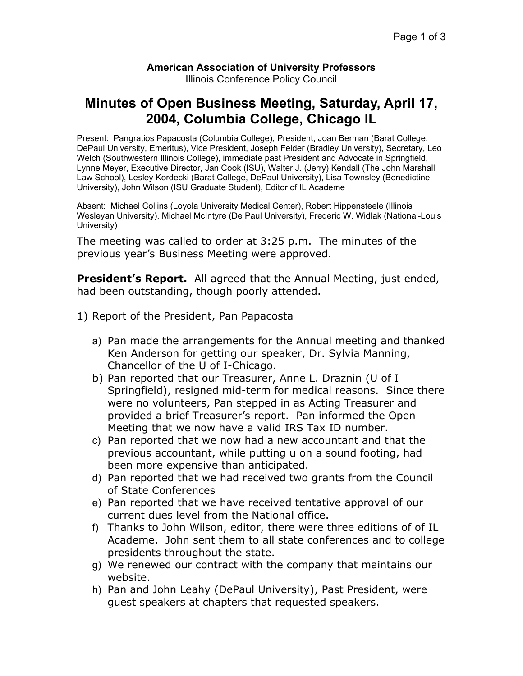## **American Association of University Professors**

Illinois Conference Policy Council

## **Minutes of Open Business Meeting, Saturday, April 17, 2004, Columbia College, Chicago IL**

Present: Pangratios Papacosta (Columbia College), President, Joan Berman (Barat College, DePaul University, Emeritus), Vice President, Joseph Felder (Bradley University), Secretary, Leo Welch (Southwestern Illinois College), immediate past President and Advocate in Springfield, Lynne Meyer, Executive Director, Jan Cook (ISU), Walter J. (Jerry) Kendall (The John Marshall Law School), Lesley Kordecki (Barat College, DePaul University), Lisa Townsley (Benedictine University), John Wilson (ISU Graduate Student), Editor of IL Academe

Absent: Michael Collins (Loyola University Medical Center), Robert Hippensteele (Illinois Wesleyan University), Michael McIntyre (De Paul University), Frederic W. Widlak (National-Louis University)

The meeting was called to order at 3:25 p.m. The minutes of the previous year's Business Meeting were approved.

**President's Report.** All agreed that the Annual Meeting, just ended, had been outstanding, though poorly attended.

- 1) Report of the President, Pan Papacosta
	- a) Pan made the arrangements for the Annual meeting and thanked Ken Anderson for getting our speaker, Dr. Sylvia Manning, Chancellor of the U of I-Chicago.
	- b) Pan reported that our Treasurer, Anne L. Draznin (U of I Springfield), resigned mid-term for medical reasons. Since there were no volunteers, Pan stepped in as Acting Treasurer and provided a brief Treasurer's report. Pan informed the Open Meeting that we now have a valid IRS Tax ID number.
	- c) Pan reported that we now had a new accountant and that the previous accountant, while putting u on a sound footing, had been more expensive than anticipated.
	- d) Pan reported that we had received two grants from the Council of State Conferences
	- e) Pan reported that we have received tentative approval of our current dues level from the National office.
	- f) Thanks to John Wilson, editor, there were three editions of of IL Academe. John sent them to all state conferences and to college presidents throughout the state.
	- g) We renewed our contract with the company that maintains our website.
	- h) Pan and John Leahy (DePaul University), Past President, were guest speakers at chapters that requested speakers.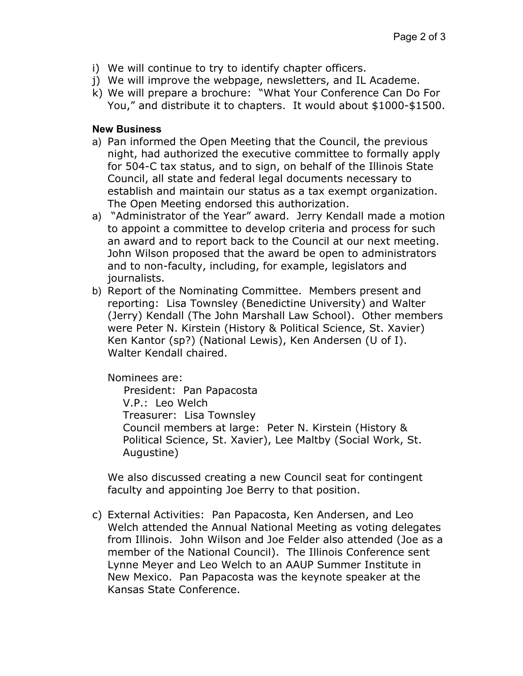- i) We will continue to try to identify chapter officers.
- j) We will improve the webpage, newsletters, and IL Academe.
- k) We will prepare a brochure: "What Your Conference Can Do For You," and distribute it to chapters. It would about \$1000-\$1500.

## **New Business**

- a) Pan informed the Open Meeting that the Council, the previous night, had authorized the executive committee to formally apply for 504-C tax status, and to sign, on behalf of the Illinois State Council, all state and federal legal documents necessary to establish and maintain our status as a tax exempt organization. The Open Meeting endorsed this authorization.
- a) "Administrator of the Year" award. Jerry Kendall made a motion to appoint a committee to develop criteria and process for such an award and to report back to the Council at our next meeting. John Wilson proposed that the award be open to administrators and to non-faculty, including, for example, legislators and journalists.
- b) Report of the Nominating Committee. Members present and reporting: Lisa Townsley (Benedictine University) and Walter (Jerry) Kendall (The John Marshall Law School). Other members were Peter N. Kirstein (History & Political Science, St. Xavier) Ken Kantor (sp?) (National Lewis), Ken Andersen (U of I). Walter Kendall chaired.

Nominees are:

 President: Pan Papacosta V.P.: Leo Welch Treasurer: Lisa Townsley Council members at large: Peter N. Kirstein (History & Political Science, St. Xavier), Lee Maltby (Social Work, St. Augustine)

We also discussed creating a new Council seat for contingent faculty and appointing Joe Berry to that position.

c) External Activities: Pan Papacosta, Ken Andersen, and Leo Welch attended the Annual National Meeting as voting delegates from Illinois. John Wilson and Joe Felder also attended (Joe as a member of the National Council). The Illinois Conference sent Lynne Meyer and Leo Welch to an AAUP Summer Institute in New Mexico. Pan Papacosta was the keynote speaker at the Kansas State Conference.